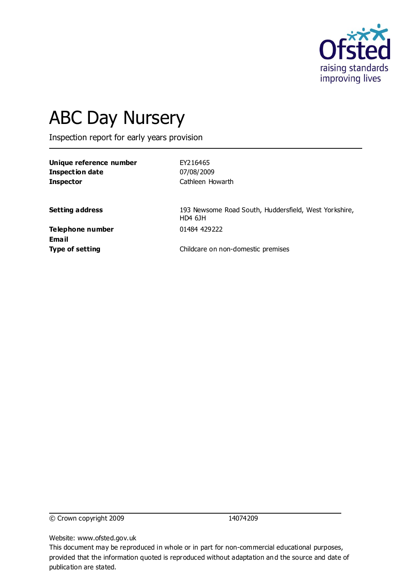

# ABC Day Nursery

Inspection report for early years provision

**Unique reference number** EY216465 **Inspection date** 07/08/2009 **Inspector** Cathleen Howarth

**Setting address** 193 Newsome Road South, Huddersfield, West Yorkshire, HD4 6JH

**Telephone number** 01484 429222 **Email**

**Type of setting** Childcare on non-domestic premises

© Crown copyright 2009 14074209

Website: www.ofsted.gov.uk

This document may be reproduced in whole or in part for non-commercial educational purposes, provided that the information quoted is reproduced without adaptation and the source and date of publication are stated.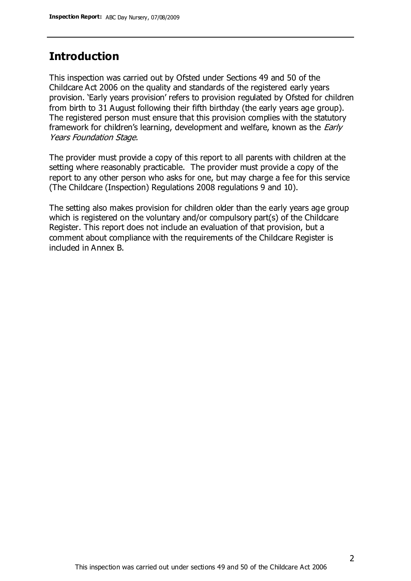## **Introduction**

This inspection was carried out by Ofsted under Sections 49 and 50 of the Childcare Act 2006 on the quality and standards of the registered early years provision. 'Early years provision' refers to provision regulated by Ofsted for children from birth to 31 August following their fifth birthday (the early years age group). The registered person must ensure that this provision complies with the statutory framework for children's learning, development and welfare, known as the *Early* Years Foundation Stage.

The provider must provide a copy of this report to all parents with children at the setting where reasonably practicable. The provider must provide a copy of the report to any other person who asks for one, but may charge a fee for this service (The Childcare (Inspection) Regulations 2008 regulations 9 and 10).

The setting also makes provision for children older than the early years age group which is registered on the voluntary and/or compulsory part(s) of the Childcare Register. This report does not include an evaluation of that provision, but a comment about compliance with the requirements of the Childcare Register is included in Annex B.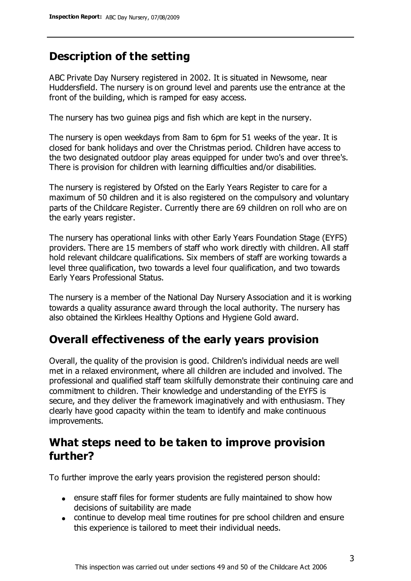# **Description of the setting**

ABC Private Day Nursery registered in 2002. It is situated in Newsome, near Huddersfield. The nursery is on ground level and parents use the entrance at the front of the building, which is ramped for easy access.

The nursery has two guinea pigs and fish which are kept in the nursery.

The nursery is open weekdays from 8am to 6pm for 51 weeks of the year. It is closed for bank holidays and over the Christmas period. Children have access to the two designated outdoor play areas equipped for under two's and over three's. There is provision for children with learning difficulties and/or disabilities.

The nursery is registered by Ofsted on the Early Years Register to care for a maximum of 50 children and it is also registered on the compulsory and voluntary parts of the Childcare Register. Currently there are 69 children on roll who are on the early years register.

The nursery has operational links with other Early Years Foundation Stage (EYFS) providers. There are 15 members of staff who work directly with children. All staff hold relevant childcare qualifications. Six members of staff are working towards a level three qualification, two towards a level four qualification, and two towards Early Years Professional Status.

The nursery is a member of the National Day Nursery Association and it is working towards a quality assurance award through the local authority. The nursery has also obtained the Kirklees Healthy Options and Hygiene Gold award.

# **Overall effectiveness of the early years provision**

Overall, the quality of the provision is good. Children's individual needs are well met in a relaxed environment, where all children are included and involved. The professional and qualified staff team skilfully demonstrate their continuing care and commitment to children. Their knowledge and understanding of the EYFS is secure, and they deliver the framework imaginatively and with enthusiasm. They clearly have good capacity within the team to identify and make continuous improvements.

# **What steps need to be taken to improve provision further?**

To further improve the early years provision the registered person should:

- ensure staff files for former students are fully maintained to show how decisions of suitability are made
- continue to develop meal time routines for pre school children and ensure this experience is tailored to meet their individual needs.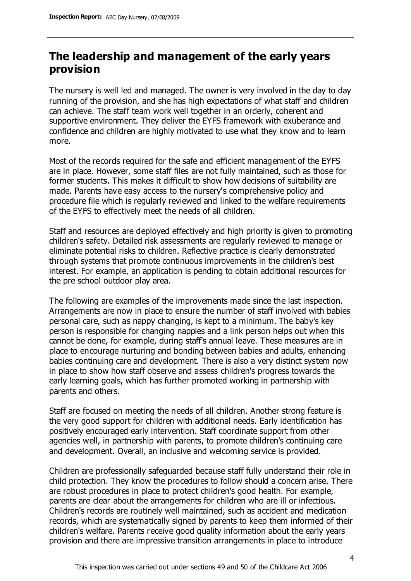# **The leadership and management of the early years provision**

The nursery is well led and managed. The owner is very involved in the day to day running of the provision, and she has high expectations of what staff and children can achieve. The staff team work well together in an orderly, coherent and supportive environment. They deliver the EYFS framework with exuberance and confidence and children are highly motivated to use what they know and to learn more.

Most of the records required for the safe and efficient management of the EYFS are in place. However, some staff files are not fully maintained, such as those for former students. This makes it difficult to show how decisions of suitability are made. Parents have easy access to the nursery's comprehensive policy and procedure file which is regularly reviewed and linked to the welfare requirements of the EYFS to effectively meet the needs of all children.

Staff and resources are deployed effectively and high priority is given to promoting children's safety. Detailed risk assessments are regularly reviewed to manage or eliminate potential risks to children. Reflective practice is clearly demonstrated through systems that promote continuous improvements in the children's best interest. For example, an application is pending to obtain additional resources for the pre school outdoor play area.

The following are examples of the improvements made since the last inspection. Arrangements are now in place to ensure the number of staff involved with babies personal care, such as nappy changing, is kept to a minimum. The baby's key person is responsible for changing nappies and a link person helps out when this cannot be done, for example, during staff's annual leave. These measures are in place to encourage nurturing and bonding between babies and adults, enhancing babies continuing care and development. There is also a very distinct system now in place to show how staff observe and assess children's progress towards the early learning goals, which has further promoted working in partnership with parents and others.

Staff are focused on meeting the needs of all children. Another strong feature is the very good support for children with additional needs. Early identification has positively encouraged early intervention. Staff coordinate support from other agencies well, in partnership with parents, to promote children's continuing care and development. Overall, an inclusive and welcoming service is provided.

Children are professionally safeguarded because staff fully understand their role in child protection. They know the procedures to follow should a concern arise. There are robust procedures in place to protect children's good health. For example, parents are clear about the arrangements for children who are ill or infectious. Children's records are routinely well maintained, such as accident and medication records, which are systematically signed by parents to keep them informed of their children's welfare. Parents receive good quality information about the early years provision and there are impressive transition arrangements in place to introduce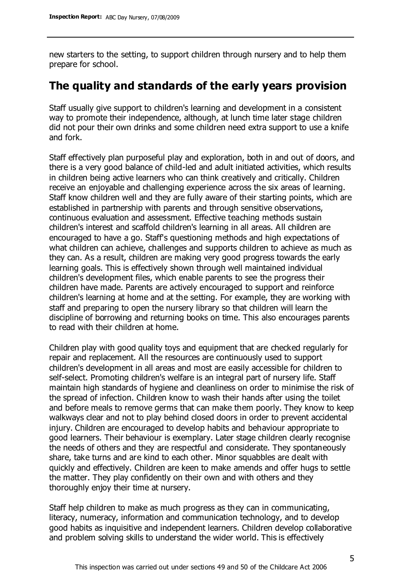new starters to the setting, to support children through nursery and to help them prepare for school.

# **The quality and standards of the early years provision**

Staff usually give support to children's learning and development in a consistent way to promote their independence, although, at lunch time later stage children did not pour their own drinks and some children need extra support to use a knife and fork.

Staff effectively plan purposeful play and exploration, both in and out of doors, and there is a very good balance of child-led and adult initiated activities, which results in children being active learners who can think creatively and critically. Children receive an enjoyable and challenging experience across the six areas of learning. Staff know children well and they are fully aware of their starting points, which are established in partnership with parents and through sensitive observations, continuous evaluation and assessment. Effective teaching methods sustain children's interest and scaffold children's learning in all areas. All children are encouraged to have a go. Staff's questioning methods and high expectations of what children can achieve, challenges and supports children to achieve as much as they can. As a result, children are making very good progress towards the early learning goals. This is effectively shown through well maintained individual children's development files, which enable parents to see the progress their children have made. Parents are actively encouraged to support and reinforce children's learning at home and at the setting. For example, they are working with staff and preparing to open the nursery library so that children will learn the discipline of borrowing and returning books on time. This also encourages parents to read with their children at home.

Children play with good quality toys and equipment that are checked regularly for repair and replacement. All the resources are continuously used to support children's development in all areas and most are easily accessible for children to self-select. Promoting children's welfare is an integral part of nursery life. Staff maintain high standards of hygiene and cleanliness on order to minimise the risk of the spread of infection. Children know to wash their hands after using the toilet and before meals to remove germs that can make them poorly. They know to keep walkways clear and not to play behind closed doors in order to prevent accidental injury. Children are encouraged to develop habits and behaviour appropriate to good learners. Their behaviour is exemplary. Later stage children clearly recognise the needs of others and they are respectful and considerate. They spontaneously share, take turns and are kind to each other. Minor squabbles are dealt with quickly and effectively. Children are keen to make amends and offer hugs to settle the matter. They play confidently on their own and with others and they thoroughly enjoy their time at nursery.

Staff help children to make as much progress as they can in communicating, literacy, numeracy, information and communication technology, and to develop good habits as inquisitive and independent learners. Children develop collaborative and problem solving skills to understand the wider world. This is effectively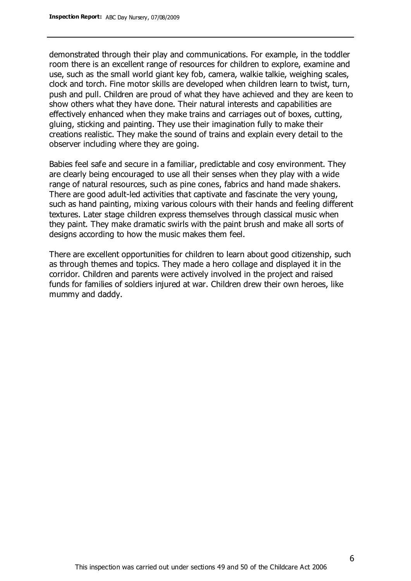demonstrated through their play and communications. For example, in the toddler room there is an excellent range of resources for children to explore, examine and use, such as the small world giant key fob, camera, walkie talkie, weighing scales, clock and torch. Fine motor skills are developed when children learn to twist, turn, push and pull. Children are proud of what they have achieved and they are keen to show others what they have done. Their natural interests and capabilities are effectively enhanced when they make trains and carriages out of boxes, cutting, gluing, sticking and painting. They use their imagination fully to make their creations realistic. They make the sound of trains and explain every detail to the observer including where they are going.

Babies feel safe and secure in a familiar, predictable and cosy environment. They are clearly being encouraged to use all their senses when they play with a wide range of natural resources, such as pine cones, fabrics and hand made shakers. There are good adult-led activities that captivate and fascinate the very young, such as hand painting, mixing various colours with their hands and feeling different textures. Later stage children express themselves through classical music when they paint. They make dramatic swirls with the paint brush and make all sorts of designs according to how the music makes them feel.

There are excellent opportunities for children to learn about good citizenship, such as through themes and topics. They made a hero collage and displayed it in the corridor. Children and parents were actively involved in the project and raised funds for families of soldiers injured at war. Children drew their own heroes, like mummy and daddy.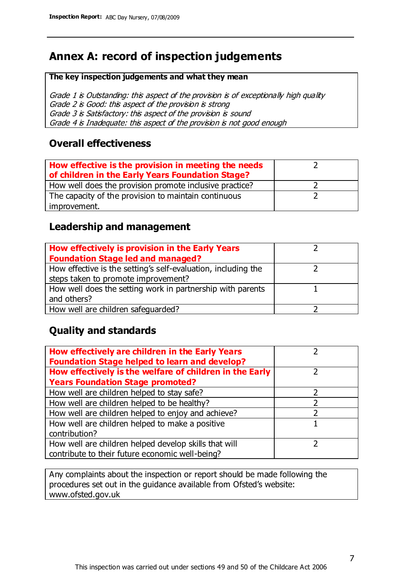# **Annex A: record of inspection judgements**

#### **The key inspection judgements and what they mean**

Grade 1 is Outstanding: this aspect of the provision is of exceptionally high quality Grade 2 is Good: this aspect of the provision is strong Grade 3 is Satisfactory: this aspect of the provision is sound Grade 4 is Inadequate: this aspect of the provision is not good enough

#### **Overall effectiveness**

| How effective is the provision in meeting the needs<br>of children in the Early Years Foundation Stage? |  |
|---------------------------------------------------------------------------------------------------------|--|
| How well does the provision promote inclusive practice?                                                 |  |
| The capacity of the provision to maintain continuous                                                    |  |
| improvement.                                                                                            |  |

### **Leadership and management**

| How effectively is provision in the Early Years               |  |
|---------------------------------------------------------------|--|
| <b>Foundation Stage led and managed?</b>                      |  |
| How effective is the setting's self-evaluation, including the |  |
| steps taken to promote improvement?                           |  |
| How well does the setting work in partnership with parents    |  |
| and others?                                                   |  |
| How well are children safequarded?                            |  |

## **Quality and standards**

| How effectively are children in the Early Years<br><b>Foundation Stage helped to learn and develop?</b> |   |
|---------------------------------------------------------------------------------------------------------|---|
| How effectively is the welfare of children in the Early                                                 | ר |
| <b>Years Foundation Stage promoted?</b>                                                                 |   |
| How well are children helped to stay safe?                                                              |   |
| How well are children helped to be healthy?                                                             |   |
| How well are children helped to enjoy and achieve?                                                      | 2 |
| How well are children helped to make a positive                                                         |   |
| contribution?                                                                                           |   |
| How well are children helped develop skills that will                                                   |   |
| contribute to their future economic well-being?                                                         |   |

Any complaints about the inspection or report should be made following the procedures set out in the guidance available from Ofsted's website: www.ofsted.gov.uk